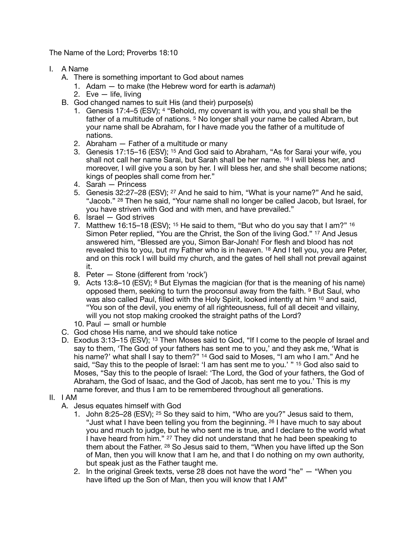The Name of the Lord; Proverbs 18:10

- I. A Name
	- A. There is something important to God about names
		- 1. Adam to make (the Hebrew word for earth is *adamah*)
		- 2. Eve life, living
	- B. God changed names to suit His (and their) purpose(s)
		- 1. Genesis 17:4–5 (ESV); 4 "Behold, my covenant is with you, and you shall be the father of a multitude of nations. 5 No longer shall your name be called Abram, but your name shall be Abraham, for I have made you the father of a multitude of nations.
		- 2. Abraham Father of a multitude or many
		- 3. Genesis 17:15–16 (ESV); 15 And God said to Abraham, "As for Sarai your wife, you shall not call her name Sarai, but Sarah shall be her name. 16 I will bless her, and moreover, I will give you a son by her. I will bless her, and she shall become nations; kings of peoples shall come from her."
		- 4. Sarah Princess
		- 5. Genesis 32:27–28 (ESV); 27 And he said to him, "What is your name?" And he said, "Jacob." 28 Then he said, "Your name shall no longer be called Jacob, but Israel, for you have striven with God and with men, and have prevailed."
		- 6. Israel God strives
		- 7. Matthew 16:15–18 (ESV); <sup>15</sup> He said to them, "But who do you say that I am?" <sup>16</sup> Simon Peter replied, "You are the Christ, the Son of the living God." 17 And Jesus answered him, "Blessed are you, Simon Bar-Jonah! For flesh and blood has not revealed this to you, but my Father who is in heaven. 18 And I tell you, you are Peter, and on this rock I will build my church, and the gates of hell shall not prevail against it.
		- 8. Peter Stone (different from 'rock')
		- 9. Acts 13:8–10 (ESV); 8 But Elymas the magician (for that is the meaning of his name) opposed them, seeking to turn the proconsul away from the faith. 9 But Saul, who was also called Paul, filled with the Holy Spirit, looked intently at him 10 and said, "You son of the devil, you enemy of all righteousness, full of all deceit and villainy, will you not stop making crooked the straight paths of the Lord?
		- 10. Paul small or humble
	- C. God chose His name, and we should take notice
	- D. Exodus 3:13–15 (ESV); <sup>13</sup> Then Moses said to God, "If I come to the people of Israel and say to them, 'The God of your fathers has sent me to you,' and they ask me, 'What is his name?' what shall I say to them?" <sup>14</sup> God said to Moses, "I am who I am." And he said, "Say this to the people of Israel: 'I am has sent me to you.' " 15 God also said to Moses, "Say this to the people of Israel: 'The Lord, the God of your fathers, the God of Abraham, the God of Isaac, and the God of Jacob, has sent me to you.' This is my name forever, and thus I am to be remembered throughout all generations.
- II. I AM
	- A. Jesus equates himself with God
		- 1. John 8:25–28 (ESV); 25 So they said to him, "Who are you?" Jesus said to them, "Just what I have been telling you from the beginning.  $26$  I have much to say about you and much to judge, but he who sent me is true, and I declare to the world what I have heard from him." <sup>27</sup> They did not understand that he had been speaking to them about the Father. 28 So Jesus said to them, "When you have lifted up the Son of Man, then you will know that I am he, and that I do nothing on my own authority, but speak just as the Father taught me.
		- 2. In the original Greek texts, verse 28 does not have the word "he" "When you have lifted up the Son of Man, then you will know that I AM"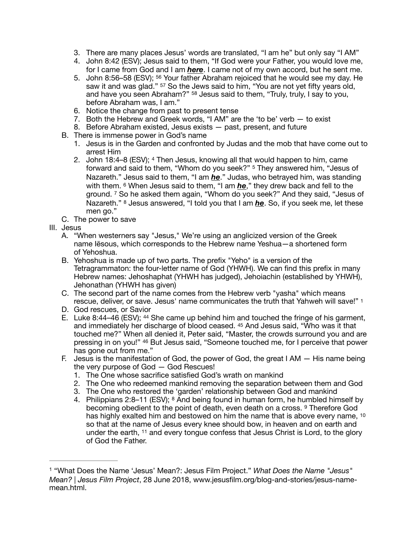- 3. There are many places Jesus' words are translated, "I am he" but only say "I AM"
- 4. John 8:42 (ESV); Jesus said to them, "If God were your Father, you would love me, for I came from God and I am *here*. I came not of my own accord, but he sent me.
- 5. John 8:56–58 (ESV); 56 Your father Abraham rejoiced that he would see my day. He saw it and was glad." <sup>57</sup> So the Jews said to him, "You are not yet fifty years old, and have you seen Abraham?" 58 Jesus said to them, "Truly, truly, I say to you, before Abraham was, I am."
- 6. Notice the change from past to present tense
- 7. Both the Hebrew and Greek words, "I AM" are the 'to be' verb to exist
- 8. Before Abraham existed, Jesus exists past, present, and future
- B. There is immense power in God's name
	- 1. Jesus is in the Garden and confronted by Judas and the mob that have come out to arrest Him
	- 2. John 18:4–8 (ESV); 4 Then Jesus, knowing all that would happen to him, came forward and said to them, "Whom do you seek?" 5 They answered him, "Jesus of Nazareth." Jesus said to them, "I am *he*." Judas, who betrayed him, was standing with them. 6 When Jesus said to them, "I am *he*," they drew back and fell to the ground. 7 So he asked them again, "Whom do you seek?" And they said, "Jesus of Nazareth." 8 Jesus answered, "I told you that I am *he*. So, if you seek me, let these men go."
- <span id="page-1-1"></span>C. The power to save
- III. Jesus
	- A. "When westerners say "Jesus," We're using an anglicized version of the Greek name Iēsous, which corresponds to the Hebrew name Yeshua—a shortened form of Yehoshua.
	- B. Yehoshua is made up of two parts. The prefix "Yeho" is a version of the Tetragrammaton: the four-letter name of God (YHWH). We can find this prefix in many Hebrew names: Jehoshaphat (YHWH has judged), Jehoiachin (established by YHWH), Jehonathan (YHWH has given)
	- C. The second part of the name comes from the Hebrew verb "yasha" which means rescue, deliver, or save. Jesus' name communicates the truth that Yahweh will save!" [1](#page-1-0)
	- D. God rescues, or Savior
	- E. Luke 8:44–46 (ESV); 44 She came up behind him and touched the fringe of his garment, and immediately her discharge of blood ceased. 45 And Jesus said, "Who was it that touched me?" When all denied it, Peter said, "Master, the crowds surround you and are pressing in on you!" 46 But Jesus said, "Someone touched me, for I perceive that power has gone out from me."
	- F. Jesus is the manifestation of God, the power of God, the great I AM His name being the very purpose of God — God Rescues!
		- 1. The One whose sacrifice satisfied God's wrath on mankind
		- 2. The One who redeemed mankind removing the separation between them and God
		- 3. The One who restored the 'garden' relationship between God and mankind
		- 4. Philippians 2:8–11 (ESV); 8 And being found in human form, he humbled himself by becoming obedient to the point of death, even death on a cross. <sup>9</sup> Therefore God has highly exalted him and bestowed on him the name that is above every name, 10 so that at the name of Jesus every knee should bow, in heaven and on earth and under the earth, 11 and every tongue confess that Jesus Christ is Lord, to the glory of God the Father.

<span id="page-1-0"></span> <sup>&</sup>quot;What Does the Name 'Jesus' Mean?: Jesus Film Project." *What Does the Name "Jesus"* [1](#page-1-1) *Mean? | Jesus Film Project*, 28 June 2018, www.jesusfilm.org/blog-and-stories/jesus-namemean.html.